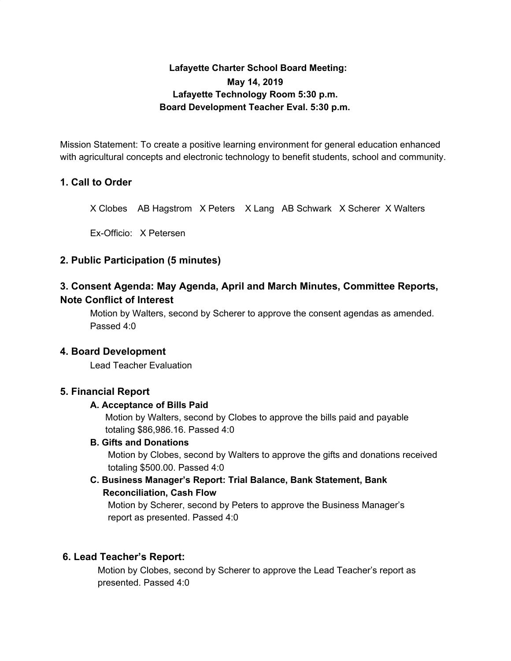# **Lafayette Charter School Board Meeting: May 14, 2019 Lafayette Technology Room 5:30 p.m. Board Development Teacher Eval. 5:30 p.m.**

Mission Statement: To create a positive learning environment for general education enhanced with agricultural concepts and electronic technology to benefit students, school and community.

# **1. Call to Order**

X Clobes AB Hagstrom X Peters X Lang AB Schwark X Scherer X Walters

Ex-Officio: X Petersen

# **2. Public Participation (5 minutes)**

# **3. Consent Agenda: May Agenda, April and March Minutes, Committee Reports, Note Conflict of Interest**

Motion by Walters, second by Scherer to approve the consent agendas as amended. Passed 4:0

### **4. Board Development**

Lead Teacher Evaluation

### **5. Financial Report**

### **A. Acceptance of Bills Paid**

Motion by Walters, second by Clobes to approve the bills paid and payable totaling \$86,986.16. Passed 4:0

### **B. Gifts and Donations**

Motion by Clobes, second by Walters to approve the gifts and donations received totaling \$500.00. Passed 4:0

# **C. Business Manager's Report: Trial Balance, Bank Statement, Bank Reconciliation, Cash Flow**

Motion by Scherer, second by Peters to approve the Business Manager's report as presented. Passed 4:0

### **6. Lead Teacher's Report:**

Motion by Clobes, second by Scherer to approve the Lead Teacher's report as presented. Passed 4:0